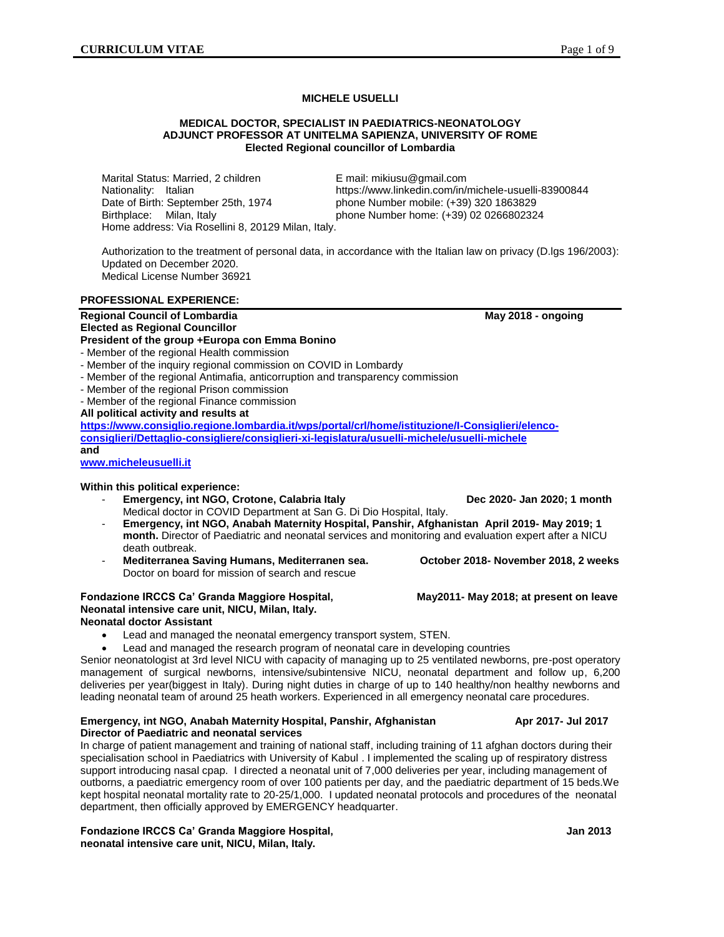# **MICHELE USUELLI**

#### **MEDICAL DOCTOR, SPECIALIST IN PAEDIATRICS-NEONATOLOGY ADJUNCT PROFESSOR AT UNITELMA SAPIENZA, UNIVERSITY OF ROME Elected Regional councillor of Lombardia**

Marital Status: Married, 2 children Email: [mikiusu@gmail.com](mailto:mikiusu@gmail.com) Date of Birth: September 25th, 1974 phone Number mobile: (+39) 320 1863829 Birthplace: Milan, Italy phone Number home: (+39) 02 0266802324 Home address: Via Rosellini 8, 20129 Milan, Italy.

Nationality: Italian https://www.linkedin.com/in/michele-usuelli-83900844

Authorization to the treatment of personal data, in accordance with the Italian law on privacy (D.lgs 196/2003): Updated on December 2020. Medical License Number 36921

#### **PROFESSIONAL EXPERIENCE:**

## **Regional Council of Lombardia May 2018 - ongoing and May 2018 - ongoing and May 2018 - ongoing and May 2018 - ongoing and May 2018 - ongoing and May 2018 - ongoing and May 2018 - ongoing and May 2018 - ongoing and May 201 Elected as Regional Councillor**

**President of the group +Europa con Emma Bonino**

- Member of the regional Health commission
- Member of the inquiry regional commission on COVID in Lombardy
- Member of the regional Antimafia, anticorruption and transparency commission
- Member of the regional Prison commission
- Member of the regional Finance commission

**All political activity and results at** 

**[https://www.consiglio.regione.lombardia.it/wps/portal/crl/home/istituzione/I-Consiglieri/elenco](https://www.consiglio.regione.lombardia.it/wps/portal/crl/home/istituzione/I-Consiglieri/elenco-consiglieri/Dettaglio-consigliere/consiglieri-xi-legislatura/usuelli-michele/usuelli-michele)[consiglieri/Dettaglio-consigliere/consiglieri-xi-legislatura/usuelli-michele/usuelli-michele](https://www.consiglio.regione.lombardia.it/wps/portal/crl/home/istituzione/I-Consiglieri/elenco-consiglieri/Dettaglio-consigliere/consiglieri-xi-legislatura/usuelli-michele/usuelli-michele) and**

**[www.micheleusuelli.it](http://www.micheleusuelli.it/)**

#### **Within this political experience:**

- **Emergency, int NGO, Crotone, Calabria Italy Dec 2020- Jan 2020; 1 month** Medical doctor in COVID Department at San G. Di Dio Hospital, Italy.
- **Emergency, int NGO, Anabah Maternity Hospital, Panshir, Afghanistan April 2019- May 2019; 1 month.** Director of Paediatric and neonatal services and monitoring and evaluation expert after a NICU death outbreak.
- **Mediterranea Saving Humans, Mediterranen sea. October 2018- November 2018, 2 weeks** Doctor on board for mission of search and rescue

## **Fondazione IRCCS Ca' Granda Maggiore Hospital, May 2011- May 2018; at present on leave Neonatal intensive care unit, NICU, Milan, Italy. Neonatal doctor Assistant**

- Lead and managed the neonatal emergency transport system, STEN.
- Lead and managed the research program of neonatal care in developing countries

Senior neonatologist at 3rd level NICU with capacity of managing up to 25 ventilated newborns, pre-post operatory management of surgical newborns, intensive/subintensive NICU, neonatal department and follow up, 6,200 deliveries per year(biggest in Italy). During night duties in charge of up to 140 healthy/non healthy newborns and leading neonatal team of around 25 heath workers. Experienced in all emergency neonatal care procedures.

#### **Emergency, int NGO, Anabah Maternity Hospital, Panshir, Afghanistan Apr 2017- Jul 2017 Director of Paediatric and neonatal services**

In charge of patient management and training of national staff, including training of 11 afghan doctors during their specialisation school in Paediatrics with University of Kabul . I implemented the scaling up of respiratory distress support introducing nasal cpap. I directed a neonatal unit of 7,000 deliveries per year, including management of outborns, a paediatric emergency room of over 100 patients per day, and the paediatric department of 15 beds.We kept hospital neonatal mortality rate to 20-25/1,000. I updated neonatal protocols and procedures of the neonatal department, then officially approved by EMERGENCY headquarter.

#### **Fondazione IRCCS Ca' Granda Maggiore Hospital, Jan 2013 neonatal intensive care unit, NICU, Milan, Italy.**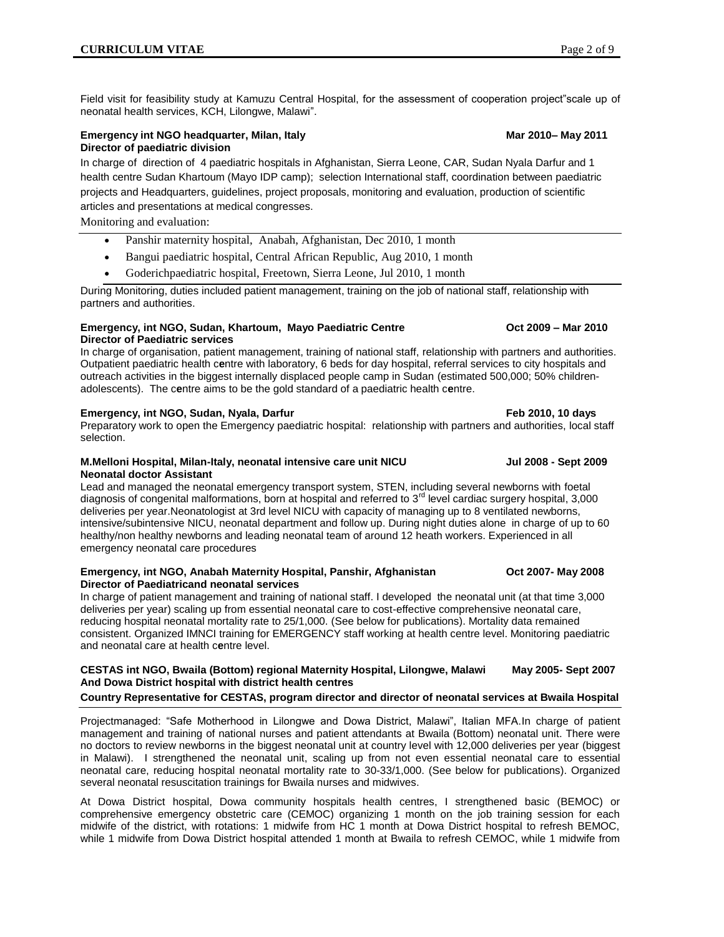Field visit for feasibility study at Kamuzu Central Hospital, for the assessment of cooperation project"scale up of neonatal health services, KCH, Lilongwe, Malawi".

## **Emergency int NGO headquarter, Milan, Italy <b>Marrow Construction March 2010–May 2011 Director of paediatric division**

In charge of direction of 4 paediatric hospitals in Afghanistan, Sierra Leone, CAR, Sudan Nyala Darfur and 1 health centre Sudan Khartoum (Mayo IDP camp); selection International staff, coordination between paediatric projects and Headquarters, guidelines, project proposals, monitoring and evaluation, production of scientific articles and presentations at medical congresses.

Monitoring and evaluation:

- Panshir maternity hospital, Anabah, Afghanistan, Dec 2010, 1 month
- Bangui paediatric hospital, Central African Republic, Aug 2010, 1 month
- Goderichpaediatric hospital, Freetown, Sierra Leone, Jul 2010, 1 month

During Monitoring, duties included patient management, training on the job of national staff, relationship with partners and authorities.

#### **Emergency, int NGO, Sudan, Khartoum, Mayo Paediatric Centre Oct 2009 – Mar 2010 Director of Paediatric services**

In charge of organisation, patient management, training of national staff, relationship with partners and authorities. Outpatient paediatric health c**e**ntre with laboratory, 6 beds for day hospital, referral services to city hospitals and outreach activities in the biggest internally displaced people camp in Sudan (estimated 500,000; 50% childrenadolescents). The c**e**ntre aims to be the gold standard of a paediatric health c**e**ntre.

## **Emergency, int NGO, Sudan, Nyala, Darfur Feb 2010, 10 days**

Preparatory work to open the Emergency paediatric hospital: relationship with partners and authorities, local staff selection.

#### **M.Melloni Hospital, Milan-Italy, neonatal intensive care unit NICU Jul 2008 - Sept 2009 Neonatal doctor Assistant**

Lead and managed the neonatal emergency transport system, STEN, including several newborns with foetal diagnosis of congenital malformations, born at hospital and referred to 3<sup>rd</sup> level cardiac surgery hospital, 3,000 deliveries per year.Neonatologist at 3rd level NICU with capacity of managing up to 8 ventilated newborns, intensive/subintensive NICU, neonatal department and follow up. During night duties alone in charge of up to 60 healthy/non healthy newborns and leading neonatal team of around 12 heath workers. Experienced in all emergency neonatal care procedures

#### **Emergency, int NGO, Anabah Maternity Hospital, Panshir, Afghanistan Oct 2007- May 2008 Director of Paediatricand neonatal services**

In charge of patient management and training of national staff. I developed the neonatal unit (at that time 3,000 deliveries per year) scaling up from essential neonatal care to cost-effective comprehensive neonatal care, reducing hospital neonatal mortality rate to 25/1,000. (See below for publications). Mortality data remained consistent. Organized IMNCI training for EMERGENCY staff working at health centre level. Monitoring paediatric and neonatal care at health c**e**ntre level.

# **CESTAS int NGO, Bwaila (Bottom) regional Maternity Hospital, Lilongwe, Malawi May 2005- Sept 2007 And Dowa District hospital with district health centres**

# **Country Representative for CESTAS, program director and director of neonatal services at Bwaila Hospital**

Projectmanaged: "Safe Motherhood in Lilongwe and Dowa District, Malawi", Italian MFA.In charge of patient management and training of national nurses and patient attendants at Bwaila (Bottom) neonatal unit. There were no doctors to review newborns in the biggest neonatal unit at country level with 12,000 deliveries per year (biggest in Malawi). I strengthened the neonatal unit, scaling up from not even essential neonatal care to essential neonatal care, reducing hospital neonatal mortality rate to 30-33/1,000. (See below for publications). Organized several neonatal resuscitation trainings for Bwaila nurses and midwives.

At Dowa District hospital, Dowa community hospitals health centres, I strengthened basic (BEMOC) or comprehensive emergency obstetric care (CEMOC) organizing 1 month on the job training session for each midwife of the district, with rotations: 1 midwife from HC 1 month at Dowa District hospital to refresh BEMOC, while 1 midwife from Dowa District hospital attended 1 month at Bwaila to refresh CEMOC, while 1 midwife from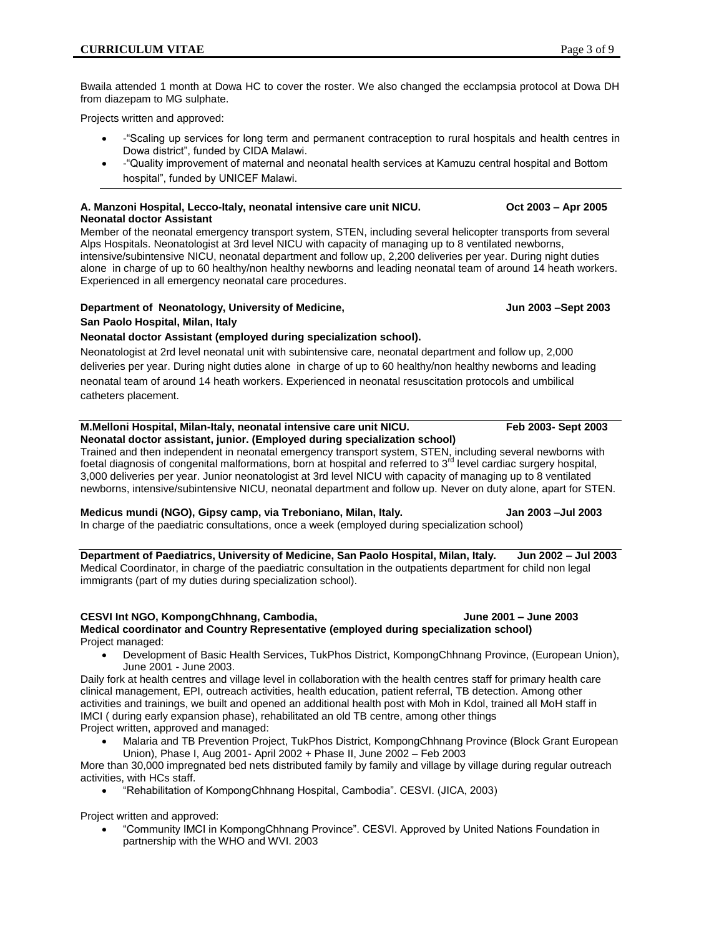Bwaila attended 1 month at Dowa HC to cover the roster. We also changed the ecclampsia protocol at Dowa DH from diazepam to MG sulphate.

Projects written and approved:

- -"Scaling up services for long term and permanent contraception to rural hospitals and health centres in Dowa district", funded by CIDA Malawi.
- -"Quality improvement of maternal and neonatal health services at Kamuzu central hospital and Bottom hospital", funded by UNICEF Malawi.

## **A. Manzoni Hospital, Lecco-Italy, neonatal intensive care unit NICU. Oct 2003 – Apr 2005 Neonatal doctor Assistant**

Member of the neonatal emergency transport system, STEN, including several helicopter transports from several Alps Hospitals. Neonatologist at 3rd level NICU with capacity of managing up to 8 ventilated newborns, intensive/subintensive NICU, neonatal department and follow up, 2,200 deliveries per year. During night duties alone in charge of up to 60 healthy/non healthy newborns and leading neonatal team of around 14 heath workers. Experienced in all emergency neonatal care procedures.

## **Department of Neonatology, University of Medicine, Jun 2003 –Sept 2003 San Paolo Hospital, Milan, Italy**

# **Neonatal doctor Assistant (employed during specialization school).**

Neonatologist at 2rd level neonatal unit with subintensive care, neonatal department and follow up, 2,000 deliveries per year. During night duties alone in charge of up to 60 healthy/non healthy newborns and leading neonatal team of around 14 heath workers. Experienced in neonatal resuscitation protocols and umbilical catheters placement.

#### **M.Melloni Hospital, Milan-Italy, neonatal intensive care unit NICU. Feb 2003- Sept 2003 Neonatal doctor assistant, junior. (Employed during specialization school)**

Trained and then independent in neonatal emergency transport system, STEN, including several newborns with foetal diagnosis of congenital malformations, born at hospital and referred to  $3<sup>rd</sup>$  level cardiac surgery hospital, 3,000 deliveries per year. Junior neonatologist at 3rd level NICU with capacity of managing up to 8 ventilated newborns, intensive/subintensive NICU, neonatal department and follow up. Never on duty alone, apart for STEN.

# **Medicus mundi (NGO), Gipsy camp, via Treboniano, Milan, Italy. Jan 2003 –Jul 2003**

In charge of the paediatric consultations, once a week (employed during specialization school)

**Department of Paediatrics, University of Medicine, San Paolo Hospital, Milan, Italy. Jun 2002 – Jul 2003** Medical Coordinator, in charge of the paediatric consultation in the outpatients department for child non legal immigrants (part of my duties during specialization school).

# **CESVI Int NGO, KompongChhnang, Cambodia, June 2001 – June 2003**

**Medical coordinator and Country Representative (employed during specialization school)** Project managed:

 Development of Basic Health Services, TukPhos District, KompongChhnang Province, (European Union), June 2001 - June 2003.

Daily fork at health centres and village level in collaboration with the health centres staff for primary health care clinical management, EPI, outreach activities, health education, patient referral, TB detection. Among other activities and trainings, we built and opened an additional health post with Moh in Kdol, trained all MoH staff in IMCI ( during early expansion phase), rehabilitated an old TB centre, among other things Project written, approved and managed:

 Malaria and TB Prevention Project, TukPhos District, KompongChhnang Province (Block Grant European Union), Phase I, Aug 2001- April 2002 + Phase II, June 2002 – Feb 2003

More than 30,000 impregnated bed nets distributed family by family and village by village during regular outreach activities, with HCs staff.

"Rehabilitation of KompongChhnang Hospital, Cambodia". CESVI. (JICA, 2003)

Project written and approved:

 "Community IMCI in KompongChhnang Province". CESVI. Approved by United Nations Foundation in partnership with the WHO and WVI. 2003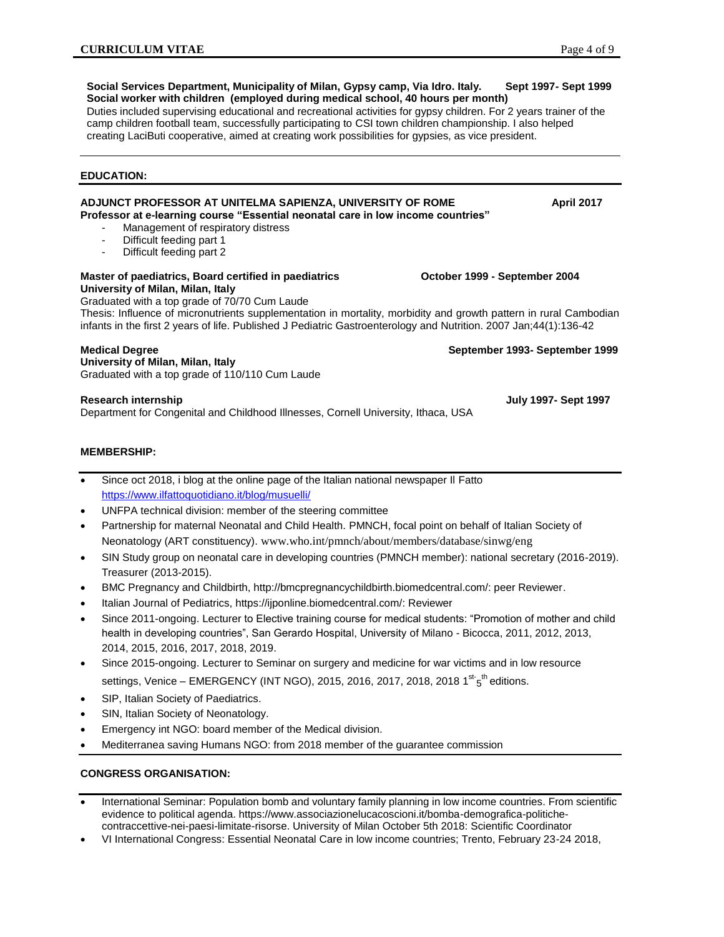**Social Services Department, Municipality of Milan, Gypsy camp, Via Idro. Italy. Sept 1997- Sept 1999 Social worker with children (employed during medical school, 40 hours per month)**

Duties included supervising educational and recreational activities for gypsy children. For 2 years trainer of the camp children football team, successfully participating to CSI town children championship. I also helped creating LaciButi cooperative, aimed at creating work possibilities for gypsies, as vice president.

## **EDUCATION:**

#### ADJUNCT PROFESSOR AT UNITELMA SAPIENZA, UNIVERSITY OF ROME **AUGUSE APPIL 2017 Professor at e-learning course "Essential neonatal care in low income countries"**

- Management of respiratory distress
- Difficult feeding part 1
- Difficult feeding part 2

# **Master of paediatrics, Board certified in paediatrics October 1999 - September 2004 University of Milan, Milan, Italy**

Graduated with a top grade of 70/70 Cum Laude

Thesis: Influence of micronutrients supplementation in mortality, morbidity and growth pattern in rural Cambodian infants in the first 2 years of life. Published [J Pediatric Gastroenterology and Nutrition.](http://www.ncbi.nlm.nih.gov/pubmed/17204967) 2007 Jan;44(1):136-42

**Medical Degree September 1993- September 1999 University of Milan, Milan, Italy** Graduated with a top grade of 110/110 Cum Laude

Department for Congenital and Childhood Illnesses, Cornell University, Ithaca, USA

# **MEMBERSHIP:**

 Since oct 2018, i blog at the online page of the Italian national newspaper Il Fatto <https://www.ilfattoquotidiano.it/blog/musuelli/>

- UNFPA technical division: member of the steering committee
- Partnership for maternal Neonatal and Child Health. PMNCH, focal point on behalf of Italian Society of Neonatology (ART constituency). [www.who.int/pmnch/about/members/database/sinwg/eng](http://www.who.int/pmnch/about/members/database/sinwg/eng)
- SIN Study group on neonatal care in developing countries (PMNCH member): national secretary (2016-2019). Treasurer (2013-2015).
- BMC Pregnancy and Childbirth, http://bmcpregnancychildbirth.biomedcentral.com/: peer Reviewer.
- Italian Journal of Pediatrics, [https://ijponline.biomedcentral.com/:](https://ijponline.biomedcentral.com/) Reviewer
- Since 2011-ongoing. Lecturer to Elective training course for medical students: "Promotion of mother and child health in developing countries", San Gerardo Hospital, University of Milano - Bicocca, 2011, 2012, 2013, 2014, 2015, 2016, 2017, 2018, 2019.
- Since 2015-ongoing. Lecturer to Seminar on surgery and medicine for war victims and in low resource settings, Venice – EMERGENCY (INT NGO), 2015, 2016, 2017, 2018, 2018 1<sup>st-</sup>5<sup>th</sup> editions.
- SIP, Italian Society of Paediatrics.
- SIN, Italian Society of Neonatology.
- Emergency int NGO: board member of the Medical division.
- Mediterranea saving Humans NGO: from 2018 member of the guarantee commission

# **CONGRESS ORGANISATION:**

- International Seminar: Population bomb and voluntary family planning in low income countries. From scientific evidence to political agenda. https://www.associazionelucacoscioni.it/bomba-demografica-politichecontraccettive-nei-paesi-limitate-risorse. University of Milan October 5th 2018: Scientific Coordinator
- VI International Congress: Essential Neonatal Care in low income countries; Trento, February 23-24 2018,

**Research internship July 1997- Sept 1997**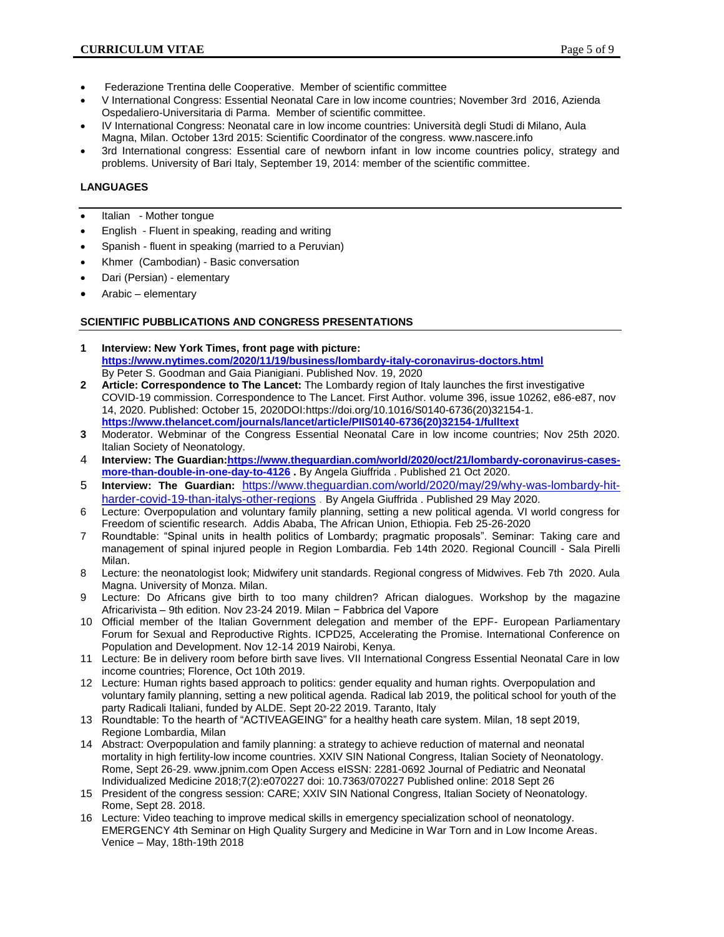- Federazione Trentina delle Cooperative. Member of scientific committee
- V International Congress: Essential Neonatal Care in low income countries; November 3rd 2016, Azienda Ospedaliero-Universitaria di Parma. Member of scientific committee.
- IV International Congress: Neonatal care in low income countries: Università degli Studi di Milano, Aula Magna, Milan. October 13rd 2015: Scientific Coordinator of the congress[. www.nascere.info](http://www.nascere.info/)
- 3rd International congress: Essential care of newborn infant in low income countries policy, strategy and problems. University of Bari Italy, September 19, 2014: member of the scientific committee.

# **LANGUAGES**

- Italian Mother tongue
- English Fluent in speaking, reading and writing
- Spanish fluent in speaking (married to a Peruvian)
- Khmer (Cambodian) Basic conversation
- Dari (Persian) elementary
- Arabic elementary

## **SCIENTIFIC PUBBLICATIONS AND CONGRESS PRESENTATIONS**

- **1 Interview: New York Times, front page with picture: <https://www.nytimes.com/2020/11/19/business/lombardy-italy-coronavirus-doctors.html>** By [Peter S. Goodman](https://www.nytimes.com/by/peter-s-goodman) and [Gaia Pianigiani.](https://www.nytimes.com/by/gaia-pianigiani) Published Nov. 19, 2020
- **2 Article: Correspondence to The Lancet:** The Lombardy region of Italy launches the first investigative COVID-19 commission. Correspondence to The Lancet. First Author. [volume 396, issue 10262,](https://www.thelancet.com/journals/lancet/issue/vol396no10262/PIIS0140-6736(20)X0046-8) e86-e87, nov 14, 2020. Published: October 15, 2020DO[I:https://doi.org/10.1016/S0140-6736\(20\)32154-1.](https://doi.org/10.1016/S0140-6736(20)32154-1) **[https://www.thelancet.com/journals/lancet/article/PIIS0140-6736\(20\)32154-1/fulltext](https://www.thelancet.com/journals/lancet/article/PIIS0140-6736(20)32154-1/fulltext)**
- **3** Moderator. Webminar of the Congress Essential Neonatal Care in low income countries; Nov 25th 2020. Italian Society of Neonatology.
- 4 **Interview: The Guardian[:https://www.theguardian.com/world/2020/oct/21/lombardy-coronavirus-cases](https://www.theguardian.com/world/2020/oct/21/lombardy-coronavirus-cases-more-than-double-in-one-day-to-4126)[more-than-double-in-one-day-to-4126](https://www.theguardian.com/world/2020/oct/21/lombardy-coronavirus-cases-more-than-double-in-one-day-to-4126) .** By [Angela Giuffrida](https://www.theguardian.com/profile/angela-giuffrida) . Published 21 Oct 2020.
- 5 **Interview: The Guardian:** [https://www.theguardian.com/world/2020/may/29/why-was-lombardy-hit](https://www.theguardian.com/world/2020/may/29/why-was-lombardy-hit-harder-covid-19-than-italys-other-regions)[harder-covid-19-than-italys-other-regions](https://www.theguardian.com/world/2020/may/29/why-was-lombardy-hit-harder-covid-19-than-italys-other-regions) . B[y Angela Giuffrida](https://www.theguardian.com/profile/angela-giuffrida) . Published 29 May 2020.
- 6 Lecture: Overpopulation and voluntary family planning, setting a new political agenda. VI world congress for Freedom of scientific research. Addis Ababa, The African Union, Ethiopia. Feb 25-26-2020
- 7 Roundtable: "Spinal units in health politics of Lombardy; pragmatic proposals". Seminar: Taking care and management of spinal injured people in Region Lombardia. Feb 14th 2020. Regional Councill - Sala Pirelli Milan.
- 8 Lecture: the neonatologist look; Midwifery unit standards. Regional congress of Midwives. Feb 7th 2020. Aula Magna. University of Monza. Milan.
- 9 Lecture: Do Africans give birth to too many children? African dialogues. Workshop by the magazine Africarivista – 9th edition. Nov 23-24 2019. Milan − Fabbrica del Vapore
- 10 Official member of the Italian Government delegation and member of the EPF- European Parliamentary Forum for Sexual and Reproductive Rights. ICPD25, Accelerating the Promise. International Conference on Population and Development. Nov 12-14 2019 Nairobi, Kenya.
- 11 Lecture: Be in delivery room before birth save lives. VII International Congress Essential Neonatal Care in low income countries; Florence, Oct 10th 2019.
- 12 Lecture: Human rights based approach to politics: gender equality and human rights. Overpopulation and voluntary family planning, setting a new political agenda. Radical lab 2019, the political school for youth of the party Radicali Italiani, funded by ALDE. Sept 20-22 2019. Taranto, Italy
- 13 Roundtable: To the hearth of "ACTIVEAGEING" for a healthy heath care system. Milan, 18 sept 2019, Regione Lombardia, Milan
- 14 Abstract: Overpopulation and family planning: a strategy to achieve reduction of maternal and neonatal mortality in high fertility-low income countries. XXIV SIN National Congress, Italian Society of Neonatology. Rome, Sept 26-29. www.jpnim.com Open Access eISSN: 2281-0692 Journal of Pediatric and Neonatal Individualized Medicine 2018;7(2):e070227 doi: 10.7363/070227 Published online: 2018 Sept 26
- 15 President of the congress session: CARE; XXIV SIN National Congress, Italian Society of Neonatology. Rome, Sept 28. 2018.
- 16 Lecture: Video teaching to improve medical skills in emergency specialization school of neonatology. EMERGENCY 4th Seminar on High Quality Surgery and Medicine in War Torn and in Low Income Areas. Venice – May, 18th-19th 2018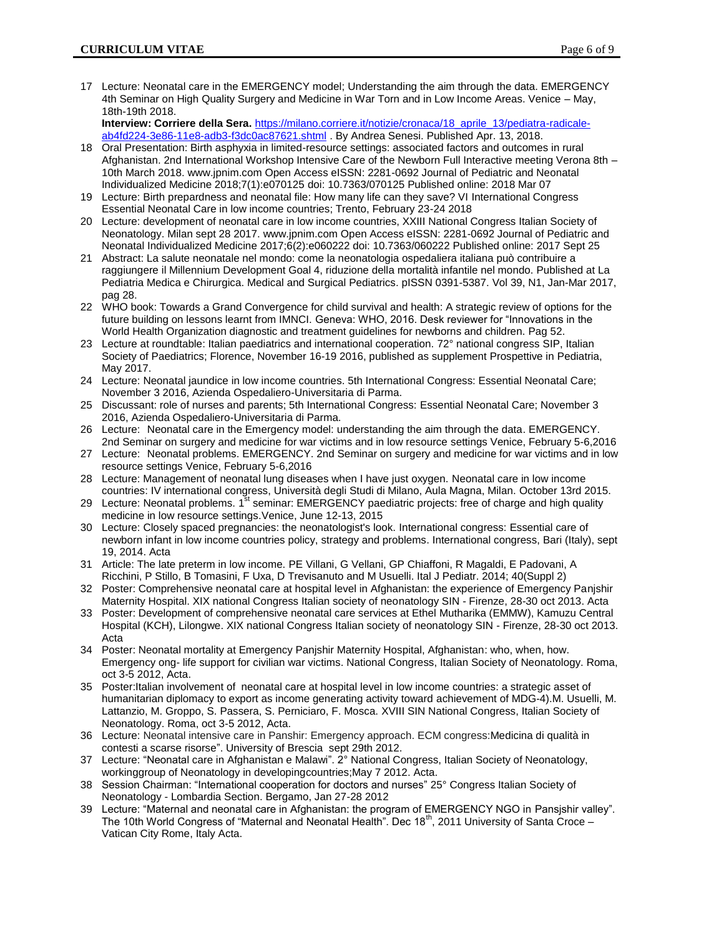17 Lecture: Neonatal care in the EMERGENCY model; Understanding the aim through the data. EMERGENCY 4th Seminar on High Quality Surgery and Medicine in War Torn and in Low Income Areas. Venice – May, 18th-19th 2018.

**Interview: Corriere della Sera.** [https://milano.corriere.it/notizie/cronaca/18\\_aprile\\_13/pediatra-radicale](https://milano.corriere.it/notizie/cronaca/18_aprile_13/pediatra-radicale-ab4fd224-3e86-11e8-adb3-f3dc0ac87621.shtml)[ab4fd224-3e86-11e8-adb3-f3dc0ac87621.shtml](https://milano.corriere.it/notizie/cronaca/18_aprile_13/pediatra-radicale-ab4fd224-3e86-11e8-adb3-f3dc0ac87621.shtml) . By Andrea Senesi. Published Apr. 13, 2018.

- 18 Oral Presentation: Birth asphyxia in limited-resource settings: associated factors and outcomes in rural Afghanistan. 2nd International Workshop Intensive Care of the Newborn Full Interactive meeting Verona 8th – 10th March 2018. www.jpnim.com Open Access eISSN: 2281-0692 Journal of Pediatric and Neonatal Individualized Medicine 2018;7(1):e070125 doi: 10.7363/070125 Published online: 2018 Mar 07
- 19 Lecture: Birth prepardness and neonatal file: How many life can they save? VI International Congress Essential Neonatal Care in low income countries; Trento, February 23-24 2018
- 20 Lecture: development of neonatal care in low income countries, XXIII National Congress Italian Society of Neonatology. Milan sept 28 2017. www.jpnim.com Open Access eISSN: 2281-0692 Journal of Pediatric and Neonatal Individualized Medicine 2017;6(2):e060222 doi: 10.7363/060222 Published online: 2017 Sept 25
- 21 Abstract: La salute neonatale nel mondo: come la neonatologia ospedaliera italiana può contribuire a raggiungere il Millennium Development Goal 4, riduzione della mortalità infantile nel mondo. Published at La Pediatria Medica e Chirurgica. Medical and Surgical Pediatrics. pISSN 0391-5387. Vol 39, N1, Jan-Mar 2017, pag 28.
- 22 WHO book: Towards a Grand Convergence for child survival and health: A strategic review of options for the future building on lessons learnt from IMNCI. Geneva: WHO, 2016. Desk reviewer for "Innovations in the World Health Organization diagnostic and treatment guidelines for newborns and children. Pag 52.
- 23 Lecture at roundtable: Italian paediatrics and international cooperation. 72° national congress SIP, Italian Society of Paediatrics; Florence, November 16-19 2016, published as supplement Prospettive in Pediatria, May 2017.
- 24 Lecture: Neonatal jaundice in low income countries. 5th International Congress: Essential Neonatal Care; November 3 2016, Azienda Ospedaliero-Universitaria di Parma.
- 25 Discussant: role of nurses and parents; 5th International Congress: Essential Neonatal Care; November 3 2016, Azienda Ospedaliero-Universitaria di Parma.
- 26 Lecture: Neonatal care in the Emergency model: understanding the aim through the data. EMERGENCY. 2nd Seminar on surgery and medicine for war victims and in low resource settings Venice, February 5-6,2016
- 27 Lecture: Neonatal problems. EMERGENCY. 2nd Seminar on surgery and medicine for war victims and in low resource settings Venice, February 5-6,2016
- 28 Lecture: Management of neonatal lung diseases when I have just oxygen. Neonatal care in low income countries: IV international congress, Università degli Studi di Milano, Aula Magna, Milan. October 13rd 2015.
- 29 Lecture: Neonatal problems. 1<sup>st</sup> seminar: EMERGENCY paediatric projects: free of charge and high quality medicine in low resource settings.Venice, June 12-13, 2015
- 30 Lecture: Closely spaced pregnancies: the neonatologist's look. International congress: Essential care of newborn infant in low income countries policy, strategy and problems. International congress, Bari (Italy), sept 19, 2014. Acta
- 31 Article: The late preterm in low income. [PE Villani,](http://www.ncbi.nlm.nih.gov/pubmed/?term=Villani%20P%5Bauth%5D) [G Vellani,](http://www.ncbi.nlm.nih.gov/pubmed/?term=Vellani%20G%5Bauth%5D) [GP Chiaffoni,](http://www.ncbi.nlm.nih.gov/pubmed/?term=Chiaffoni%20G%5Bauth%5D) [R Magaldi,](http://www.ncbi.nlm.nih.gov/pubmed/?term=Magaldi%20R%5Bauth%5D) [E Padovani,](http://www.ncbi.nlm.nih.gov/pubmed/?term=Padovani%20E%5Bauth%5D) [A](http://www.ncbi.nlm.nih.gov/pubmed/?term=Ricchini%20A%5Bauth%5D)  [Ricchini,](http://www.ncbi.nlm.nih.gov/pubmed/?term=Ricchini%20A%5Bauth%5D) [P Stillo,](http://www.ncbi.nlm.nih.gov/pubmed/?term=Stillo%20P%5Bauth%5D) [B Tomasini,](http://www.ncbi.nlm.nih.gov/pubmed/?term=Tomasini%20B%5Bauth%5D) [F Uxa,](http://www.ncbi.nlm.nih.gov/pubmed/?term=Uxa%20F%5Bauth%5D) [D Trevisanuto](http://www.ncbi.nlm.nih.gov/pubmed/?term=Trevisanuto%20D%5Bauth%5D) and [M Usuelli.](http://www.ncbi.nlm.nih.gov/pubmed/?term=Usuelli%20M%5Bauth%5D) Ital J Pediatr. 2014; 40(Suppl 2)
- 32 Poster: Comprehensive neonatal care at hospital level in Afghanistan: the experience of Emergency Panjshir Maternity Hospital. XIX national Congress Italian society of neonatology SIN - Firenze, 28-30 oct 2013. Acta
- 33 Poster: Development of comprehensive neonatal care services at Ethel Mutharika (EMMW), Kamuzu Central Hospital (KCH), Lilongwe. XIX national Congress Italian society of neonatology SIN - Firenze, 28-30 oct 2013. Acta
- 34 Poster: Neonatal mortality at Emergency Panjshir Maternity Hospital, Afghanistan: who, when, how. Emergency ong- life support for civilian war victims. National Congress, Italian Society of Neonatology. Roma, oct 3-5 2012, Acta.
- 35 Poster:Italian involvement of neonatal care at hospital level in low income countries: a strategic asset of humanitarian diplomacy to export as income generating activity toward achievement of MDG-4).M. Usuelli, M. Lattanzio, M. Groppo, S. Passera, S. Perniciaro, F. Mosca. XVIII SIN National Congress, Italian Society of Neonatology. Roma, oct 3-5 2012, Acta.
- 36 Lecture: Neonatal intensive care in Panshir: Emergency approach. ECM congress:Medicina di qualità in contesti a scarse risorse". University of Brescia sept 29th 2012.
- 37 Lecture: "Neonatal care in Afghanistan e Malawi". 2° National Congress, Italian Society of Neonatology, workinggroup of Neonatology in developingcountries;May 7 2012. Acta.
- 38 Session Chairman: "International cooperation for doctors and nurses" 25° Congress Italian Society of Neonatology - Lombardia Section. Bergamo, Jan 27-28 2012
- 39 Lecture: "Maternal and neonatal care in Afghanistan: the program of EMERGENCY NGO in Pansjshir valley". The 10th World Congress of "Maternal and Neonatal Health". Dec  $18<sup>th</sup>$ , 2011 University of Santa Croce – Vatican City Rome, Italy Acta.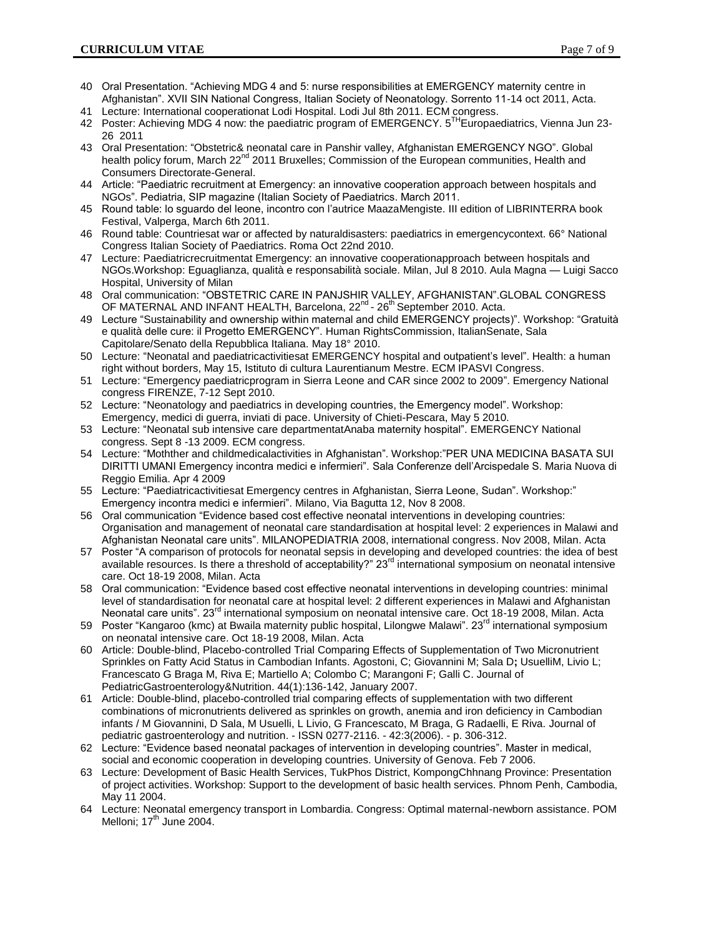- 40 Oral Presentation. "Achieving MDG 4 and 5: nurse responsibilities at EMERGENCY maternity centre in Afghanistan". XVII SIN National Congress, Italian Society of Neonatology. Sorrento 11-14 oct 2011, Acta.
- 41 Lecture: International cooperationat Lodi Hospital. Lodi Jul 8th 2011. ECM congress. 42 Poster: Achieving MDG 4 now: the paediatric program of EMERGENCY. 5<sup>TH</sup>Europaediatrics, Vienna Jun 23-
- 26 2011 43 Oral Presentation: "Obstetric& neonatal care in Panshir valley, Afghanistan EMERGENCY NGO". Global
- health policy forum, March 22<sup>nd</sup> 2011 Bruxelles; Commission of the European communities, Health and Consumers Directorate-General.
- 44 Article: "Paediatric recruitment at Emergency: an innovative cooperation approach between hospitals and NGOs". Pediatria, SIP magazine (Italian Society of Paediatrics. March 2011.
- 45 Round table: lo sguardo del leone, incontro con l'autrice MaazaMengiste. III edition of LIBRINTERRA book Festival, Valperga, March 6th 2011.
- 46 Round table: Countriesat war or affected by naturaldisasters: paediatrics in emergencycontext. 66° National Congress Italian Society of Paediatrics. Roma Oct 22nd 2010.
- 47 Lecture: Paediatricrecruitmentat Emergency: an innovative cooperationapproach between hospitals and NGOs.Workshop: Eguaglianza, qualità e responsabilità sociale. Milan, Jul 8 2010. Aula Magna — Luigi Sacco Hospital, University of Milan
- 48 Oral communication: "OBSTETRIC CARE IN PANJSHIR VALLEY, AFGHANISTAN".GLOBAL CONGRESS OF MATERNAL AND INFANT HEALTH, Barcelona, 22<sup>nd</sup> - 26<sup>th</sup> September 2010. Acta.
- 49 Lecture "Sustainability and ownership within maternal and child EMERGENCY projects)". Workshop: "Gratuità e qualità delle cure: il Progetto EMERGENCY". Human RightsCommission, ItalianSenate, Sala Capitolare/Senato della Repubblica Italiana. May 18° 2010.
- 50 Lecture: "Neonatal and paediatricactivitiesat EMERGENCY hospital and outpatient's level". Health: a human right without borders, May 15, Istituto di cultura Laurentianum Mestre. ECM IPASVI Congress.
- 51 Lecture: "Emergency paediatricprogram in Sierra Leone and CAR since 2002 to 2009". Emergency National congress FIRENZE, 7-12 Sept 2010.
- 52 Lecture: "Neonatology and paediatrics in developing countries, the Emergency model". Workshop: Emergency, medici di guerra, inviati di pace. University of Chieti-Pescara, May 5 2010.
- 53 Lecture: "Neonatal sub intensive care departmentatAnaba maternity hospital". EMERGENCY National congress. Sept 8 -13 2009. ECM congress.
- 54 Lecture: "Mothther and childmedicalactivities in Afghanistan". Workshop:"PER UNA MEDICINA BASATA SUI DIRITTI UMANI Emergency incontra medici e infermieri". Sala Conferenze dell'Arcispedale S. Maria Nuova di Reggio Emilia. Apr 4 2009
- 55 Lecture: "Paediatricactivitiesat Emergency centres in Afghanistan, Sierra Leone, Sudan". Workshop:" Emergency incontra medici e infermieri". Milano, Via Bagutta 12, Nov 8 2008.
- 56 Oral communication "Evidence based cost effective neonatal interventions in developing countries: Organisation and management of neonatal care standardisation at hospital level: 2 experiences in Malawi and Afghanistan Neonatal care units". MILANOPEDIATRIA 2008, international congress. Nov 2008, Milan. Acta
- 57 Poster "A comparison of protocols for neonatal sepsis in developing and developed countries: the idea of best available resources. Is there a threshold of acceptability?" 23<sup>rd</sup> international symposium on neonatal intensive care. Oct 18-19 2008, Milan. Acta
- 58 Oral communication: "Evidence based cost effective neonatal interventions in developing countries: minimal level of standardisation for neonatal care at hospital level: 2 different experiences in Malawi and Afghanistan Neonatal care units". 23<sup>rd</sup> international symposium on neonatal intensive care. Oct 18-19 2008, Milan. Acta
- 59 Poster "Kangaroo (kmc) at Bwaila maternity public hospital, Lilongwe Malawi". 23<sup>rd</sup> international symposium on neonatal intensive care. Oct 18-19 2008, Milan. Acta
- 60 Article: Double-blind, Placebo-controlled Trial Comparing Effects of Supplementation of Two Micronutrient Sprinkles on Fatty Acid Status in Cambodian Infants. Agostoni, C; Giovannini M; Sala D**;** UsuelliM, Livio L; Francescato G Braga M, Riva E; Martiello A; Colombo C; Marangoni F; Galli C. Journal of PediatricGastroenterology&Nutrition. 44(1):136-142, January 2007.
- 61 Article: Double-blind, placebo-controlled trial comparing effects of supplementation with two different combinations of micronutrients delivered as sprinkles on growth, anemia and iron deficiency in Cambodian infants / M Giovannini, D Sala, M Usuelli, L Livio, G Francescato, M Braga, G Radaelli, E Riva. Journal of pediatric gastroenterology and nutrition. - ISSN 0277-2116. - 42:3(2006). - p. 306-312.
- 62 Lecture: "Evidence based neonatal packages of intervention in developing countries". Master in medical, social and economic cooperation in developing countries. University of Genova. Feb 7 2006.
- 63 Lecture: Development of Basic Health Services, TukPhos District, KompongChhnang Province: Presentation of project activities. Workshop: Support to the development of basic health services. Phnom Penh, Cambodia, May 11 2004.
- 64 Lecture: Neonatal emergency transport in Lombardia. Congress: Optimal maternal-newborn assistance. POM Melloni;  $17<sup>th</sup>$  June 2004.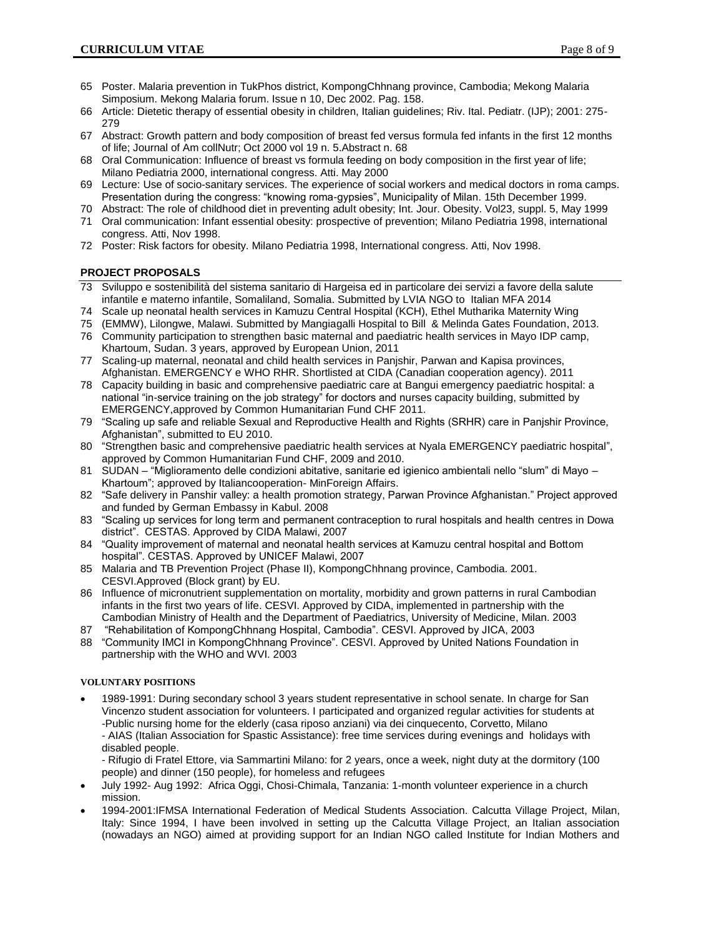- 65 Poster. Malaria prevention in TukPhos district, KompongChhnang province, Cambodia; Mekong Malaria Simposium. Mekong Malaria forum. Issue n 10, Dec 2002. Pag. 158.
- 66 Article: Dietetic therapy of essential obesity in children, Italian guidelines; Riv. Ital. Pediatr. (IJP); 2001: 275- 279
- 67 Abstract: Growth pattern and body composition of breast fed versus formula fed infants in the first 12 months of life; Journal of Am collNutr; Oct 2000 vol 19 n. 5.Abstract n. 68
- 68 Oral Communication: Influence of breast vs formula feeding on body composition in the first year of life; Milano Pediatria 2000, international congress. Atti. May 2000
- 69 Lecture: Use of socio-sanitary services. The experience of social workers and medical doctors in roma camps. Presentation during the congress: "knowing roma-gypsies", Municipality of Milan. 15th December 1999.
- 70 Abstract: The role of childhood diet in preventing adult obesity; Int. Jour. Obesity. Vol23, suppl. 5, May 1999 71 Oral communication: Infant essential obesity: prospective of prevention; Milano Pediatria 1998, international
- congress. Atti, Nov 1998. 72 Poster: Risk factors for obesity. Milano Pediatria 1998, International congress. Atti, Nov 1998.

# **PROJECT PROPOSALS**

- 73 Sviluppo e sostenibilità del sistema sanitario di Hargeisa ed in particolare dei servizi a favore della salute infantile e materno infantile, Somaliland, Somalia. Submitted by LVIA NGO to Italian MFA 2014
- 74 Scale up neonatal health services in Kamuzu Central Hospital (KCH), Ethel Mutharika Maternity Wing
- 75 (EMMW), Lilongwe, Malawi. Submitted by Mangiagalli Hospital to Bill & Melinda Gates Foundation, 2013. 76 Community participation to strengthen basic maternal and paediatric health services in Mayo IDP camp,
- Khartoum, Sudan. 3 years, approved by European Union, 2011
- 77 Scaling-up maternal, neonatal and child health services in Panjshir, Parwan and Kapisa provinces, Afghanistan. EMERGENCY e WHO RHR. Shortlisted at CIDA (Canadian cooperation agency). 2011
- 78 Capacity building in basic and comprehensive paediatric care at Bangui emergency paediatric hospital: a national "in-service training on the job strategy" for doctors and nurses capacity building, submitted by EMERGENCY,approved by Common Humanitarian Fund CHF 2011.
- 79 "Scaling up safe and reliable Sexual and Reproductive Health and Rights (SRHR) care in Panjshir Province, Afghanistan", submitted to EU 2010.
- 80 "Strengthen basic and comprehensive paediatric health services at Nyala EMERGENCY paediatric hospital", approved by Common Humanitarian Fund CHF, 2009 and 2010.
- 81 SUDAN "Miglioramento delle condizioni abitative, sanitarie ed igienico ambientali nello "slum" di Mayo Khartoum"; approved by Italiancooperation- MinForeign Affairs.
- 82 "Safe delivery in Panshir valley: a health promotion strategy, Parwan Province Afghanistan." Project approved and funded by German Embassy in Kabul. 2008
- 83 "Scaling up services for long term and permanent contraception to rural hospitals and health centres in Dowa district". CESTAS. Approved by CIDA Malawi, 2007
- 84 "Quality improvement of maternal and neonatal health services at Kamuzu central hospital and Bottom hospital". CESTAS. Approved by UNICEF Malawi, 2007
- 85 Malaria and TB Prevention Project (Phase II), KompongChhnang province, Cambodia. 2001. CESVI.Approved (Block grant) by EU.
- 86 Influence of micronutrient supplementation on mortality, morbidity and grown patterns in rural Cambodian infants in the first two years of life. CESVI. Approved by CIDA, implemented in partnership with the Cambodian Ministry of Health and the Department of Paediatrics, University of Medicine, Milan. 2003
- 87 "Rehabilitation of KompongChhnang Hospital, Cambodia". CESVI. Approved by JICA, 2003
- 88 "Community IMCI in KompongChhnang Province". CESVI. Approved by United Nations Foundation in partnership with the WHO and WVI. 2003

# **VOLUNTARY POSITIONS**

- 1989-1991: During secondary school 3 years student representative in school senate. In charge for San Vincenzo student association for volunteers. I participated and organized regular activities for students at -Public nursing home for the elderly (casa riposo anziani) via dei cinquecento, Corvetto, Milano - AIAS (Italian Association for Spastic Assistance): free time services during evenings and holidays with
	- disabled people.

- Rifugio di Fratel Ettore, via Sammartini Milano: for 2 years, once a week, night duty at the dormitory (100 people) and dinner (150 people), for homeless and refugees

- July 1992- Aug 1992: Africa Oggi, Chosi-Chimala, Tanzania: 1-month volunteer experience in a church mission.
- 1994-2001:IFMSA International Federation of Medical Students Association. Calcutta Village Project, Milan, Italy: Since 1994, I have been involved in setting up the Calcutta Village Project, an Italian association (nowadays an NGO) aimed at providing support for an Indian NGO called Institute for Indian Mothers and